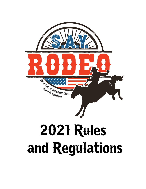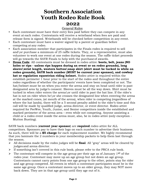# **Southern Association Youth Rodeo Rule Book**

# **2022**

# General Rules

- Each contestant must have their entry fees paid before they can compete in any event at each rodeo. Contestants will receive a wristband when fees are paid and release form is signed. Wristbands will be checked before competition in any event.
- Each contestant must have a waiver signed by a parent or guardian before competing at any rodeo.
- Each association member that participates in the Finals rodeo is required to sell and\or purchase a minimum of 25 raffle tickets. They, or a representative, must also volunteer to work one event at one rodeo during the season. The raffle ticket proceeds will go towards the SAYR Finals to help with the purchase of awards.
- **Dress Code**: All contestants must be dressed in rodeo attire: **boots, belt, jeans (NO holes or rips - unless rips happen during an event or on rodeo grounds), long sleeve\wrist length, western button\snap shirt (shirt must be tucked in while on rodeo grounds), SAYR back number (MUST be current year sponsor), and cowboy hat or regulation equestrian riding helmet.** Rodeo attire is required within the establish perimeter 1 hour prior to the start of the rodeo and throughout the entire rodeo regardless of whether the participants' events have been completed or not. The hat/helmet must be on when you enter the arena and stay on head until rider is past designated area by judge's consent. Sleeves must be all the way down. Shirt must be tucked in when rider enters the arena\or until rider is past the hat line. If the rider's hat is not on rider when he\or she crosses the designated line when entering the arena at the marked cones, (at mouth of the arena), when rider is competing (regardless of where the hat lands), there will be a 5 second penalty added to the rider's time and this call will be made by qualified judge, arena director, or event director. Rodeo attire required for PeeWee, Youth, Junior, and Senior competitors inside the established and marked perimeter of the arena area – even while not competing. Anyone assisting a child or a rodeo event inside the arena must, also, be in rodeo attire (only exception - Mutton Busting).

SAYR back numbers (**current year sponsor**) are **required** rodeo attire for ALL competitors. Sponsors pay to have their logo on each number to advertise their business. As such, there will be a **\$5 charge** for each replacement number. We highly recommend that you laminate the 2 numbers in your membership packets to help them last through the season.

- All decisions made by the rodeo judges will be **final**. All "gray" areas will be cleared by judges and arena director.
- $\triangleright$  If something isn't covered in this rule book, please refer to the PRCA rule book.
- $\triangleright$  The contestant will compete in the age group per their age as of January 1<sup>st</sup> of the rodeo year. Contestant may move up an age group but not down an age group. Contestants cannot carry points from one age group to the other, points stay for rider and age group competed. All events in which a contestant participates must be in the same age group. Once a contestant moves up to an older group, they may NOT move back down. They are in that age group until they age out of it.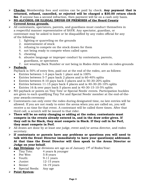- **Checks:** Membership fees and entries can be paid by check. **Any payment that is returned, refused, cancelled, or rejected will be charged a \$30.00 return check fee**. If anyone has a second infraction, then payment will be on a cash only basis.
- **NO ALCOHOL OR ILLEGAL DRUGS ON PREMISES of the Heard County Covered Arena grounds.**
- All contestants, spectators, parents, and guardians must conduct themselves in a respectful manner representative of SAYR. Any spectator, guardian, or contestant may be asked to leave or be disqualified by any rodeo official for any of the following:
	- 1. fighting or quarreling on the grounds
	- 2. mistreatment of stock
	- 3. refusing to compete on the stock drawn for them
	- 4. not being ready to compete when called upon
	- 5. cheating
	- 6. abusive language or improper conduct by contestants, parents, guardians, or spectators
	- 7. not wearing Back Number or not being in Rodeo Attire while on rodeo grounds

#### **Payback:**

Payback is 50% of entry fees, paid out at the end of the rodeo, are as follows:

- Entries between 1-4 pays back 1 place and is 100%
- Entries between 5-7 pays back 2 places and is 60-40% splits
- Entries between 8-10 pays back 3 places and is 50-30-20% splits
- Entries between 11-15 pays back 4 places and is 40-30-20-10% splits
- Entries 16 & over pays back 5 places and is 40-30-15-10-5% splits
- $\triangleright$  NO payback or points on Tiny Tots' or Special Needs' events. Participation buckles are given to each qualifying Tiny Tot and Special Needs' member at the end-of-theyear awards ceremony
- $\triangleright$  Contestants can only enter the rodeo during designated time, no late entries will be allowed. If you are not ready to enter the arena when you are called on, you will receive a no time for that event. A contestant will be called three times. After that third call, a scratch will be issued to that rider.
- **There will be no entry changing or adding at the rodeo; contestants must compete in the events already entered in, and in the draw order given. If they call in for Slack, they must compete in Slack. If they call in for Perf, they must compete in Perf.**
- All draws are done by at least one judge, event and/or arena director, and rodeo secretary.
- **If contestants or parents have any problems or questions you will need to talk with the Event Director immediately to have your question(s) addressed. At that time the Event Director will then speak to the Arena Director or Judge on your behalf.**
- **Age Divisions**: Age divisions are age as of January 1st of Rodeo Year:
	- Tiny Tots: 4 years & younger
	- Pee Wee: 5-8 years
	- Youth: 9-11 years
	- Junior: 12-15 years
	- Senior: 16-19 years
	- Special Needs: Any age
- **Point System**: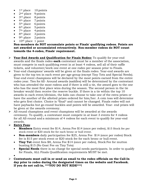- $1<sup>st</sup>$  place  $10$  points
- $2<sup>nd</sup>$  place 9 points
- $\bullet$  3<sup>rd</sup> place 8 points
- $\bullet$  4<sup>th</sup> place 7 points
- $\bullet$  5<sup>th</sup> place 6 points
- $\bullet$  6<sup>th</sup> place 5 points
- $\bullet$  7<sup>th</sup> place 4 points
- $\bullet$  8<sup>th</sup> place 3 points
- $\bullet$  9<sup>th</sup> place 2 points
- $\bullet$  10<sup>th</sup> place 1 point

#### **Non-members do NOT accumulate points or Finals' qualifying rodeos. Points are not awarded or accumulated retroactively. Non-member rodeos do NOT count towards the 4-rodeo, Finals' requirement.**

- **Year-End Awards and Qualification for Finals Rodeo:** To qualify for year-end awards and the finals rodeo **each** contestant must be a member of the association, must compete in each qualifying event in at least 4 rodeos, sell all of their raffle tickets, and volunteer/work one event at one rodeo per season prior to Finals.
- Year-end champions' awards will be given at the finals rodeo. Year-end awards are given to the top ten in each event per age-group (except Tiny Tots and Special Needs). Year-end event champions will be declared by the most points earned from the entire rodeo year. Ties for All- Around awards (saddles) will be determined by the contestant who has attended the most rodeos and if there is still a tie, the award goes to the one who has the most first place wins during the season. The second person in the tie breaker would then receive the reserve buckle. If there is a tie within the top 10 awards in each event/division, the kids can choose to take one of the extra prizes or have the another of the allotted prizes ordered for him/her. A coin toss will determine who gets first choice. Choice is \*final\* and cannot be changed. Finals rodeo will not have paybacks but go-round buckles and points will be awarded. Year- end prizes will be given at the awards ceremony.
- $\triangleright$  All-round champions and event champions will be awarded at the awards ceremony. To qualify, a contestant must compete in at least 3 events for 4 rodeos for all All-round and a minimum of 4 rodeos for each event to qualify for year-end awards.

#### **Entry Fees**:

- **Members** Entry event fee \$14, Arena Fee \$14 (once per rodeo), \$15 Stock fee per stock event or \$20 stock fee for each bronc or bull event.
- **Non-members** daily participation fee \$25, Arena Fee \$14 (once per rodeo) Stock fee is \$15 per stock event or \$20 stock fee for each bronc or bull event.
- **Tiny Tot** event fees \$8, Arena Fee \$14 (once per rodeo), Stock Fee for mutton busting \$15 (No Goat Fee on Tiny Tots)
- **Special Needs** there is no charge for special needs participants. In order to qualify for Finals, ALL Finals Qualification requirements MUST be met.

•

 **Contestants must call in or send an email to the rodeo officials on the Call-In day prior to rodeo during the designated times on the website and Facebook. If you do not call-in, \*\*\*YOU DO NOT RIDE\*\*\*!**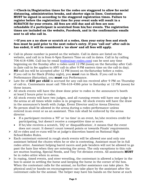**>>Check-in/Registration times for the rodeo are staggered to allow for social distancing, administration breaks, and shorter sign-in lines. Contestants MUST be signed in according to the staggered registration times. Failure to register before the registration time for your event ends will result in a SCRATCH for your events. All fees are still due and all fees are nonrefundable if a participant is scratched from his/her events. The registration times are included on the website, Facebook, and in the confirmation emails sent to all who call in.** 

#### **>>If you are a no show or scratch at a rodeo, then your entry fees and stock fees must be paid prior to the next rodeo's entry. If you "call out" after call-in has ended, it will be considered a 'no show' and all fees will apply.**

- $\triangleright$  Call-in phone number is posted on the website. Call in dates are listed on the website, and call in is from 6-9pm Eastern Time on call in dates. Call in by calling 706-618-4386. Call-ins by email  $(rod\cos\omega s)$ -rodeo.com can be sent any time beginning on the Sunday after a rodeo until 12 PM (noon) on the Saturday after Callin (late call-in fee applies to ANY call-in after 9 PM eastern time on the call-in day). **NO** call-ins will be accepted after 12 PM (noon) on the Saturday before a rodeo.
- If you call in for Slack (Friday night), you **must** run in Slack. If you call in for Performance (Saturday), you **must** run Performance.
- Late fee of **\$30 per child** is accrued for any call-ins received after 9 PM on Thursday of call-in. Contestants must call 706-618-4386 prior to Saturday at 12 PM (noon) for these issues.
- $\triangleright$  All stock events will have the draw done prior to rodeo in the announcer's booth at least 2 hours prior to rodeo.
- $\triangleright$  All stock events will have two judges, and all running events will have one judge in the arena at all times while rodeo is in progress. All stock events will have the draw in the announcer's booth with Judge, Event Director and/or Arena Director.
- $\triangleright$  No person shall be allowed in the arena during a rodeo performance unless entered in an event or as an assistant. This rule shall be enforced by the arena director.
	- If a participant receives a 'NT' or 'no time' in an event, he/she receives credit for participating, but doesn't receive a competitive time or score.
	- If he/she receives a scratch, 'DQ' or 'disqualification', it means that the event does not count. It doesn't count toward points or towards Finals' requirements.
- $\triangleright$  All re-rides and re-runs will be at judge's discretion based on National High School Rodeo Rules.
- $\triangleright$  Each contestant entered in rough stock events will be allowed one and only one assistant behind the chutes when he or she is contesting. Assistant must be in full rodeo attire. Assistant helping barrel racers and pole benders will not be allowed to go past the hate line when they are entering the arena. The only exceptions to this rule are mutton busting, Special Needs, and Tiny Tot division events. All assistants **MUST** be in rodeo attire when in arena.
- $\triangleright$  In roping, timed events, and steer wrestling, the contestant is allowed a helper in the box to assist in settling the horse and keeping the horse in the corner of the box. When the contestant calls for the animal, no further assistance can take place. No physical and/or hands-on encouragement can take place by the assistant after the contestant calls for the animal. The helper may have his hands on the horse at such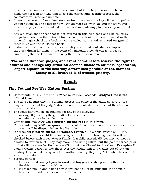time that the contestant calls for the animal, but if the helper starts the horse or holds the horse in any way that affects the contestants scoring process, the contestant will receive a no time.

- $\triangleright$  In any timed event, if an animal escapes from the arena, the flag will be dropped and watches stopped. The contestant will get animal back with lap and tap start, and time already spent will be added to time used in qualifying plus barrier penalties, if any.
- $\triangleright$  Any situation that arises that is not covered in this rule book shall be called by the judges based on the national high school rule book. If it is not covered in the national high school rule book it will be called by the judges based on general rodeo rules and the PRCA rule book.
- $\triangleright$  It shall be the arena director's responsibility to see that contestants compete on the stock drawn for them. In the event of a mistake, stock drawn for must be run during that performance and only that time or score taken.

## **The arena director, judges, and event coordinators reserve the right to address and change any situation deemed unsafe to animals, spectators, orparticipants in the best way determined possible at the moment. Safety of all involved is of utmost priority.**

# **Events**

# **Tiny Tot and Pee-Wee Mutton Busting**

- **1.** Contestants in Tiny Tots and PeeWees must ride 4 seconds **Judges' time is the official time.**
- 2. The time will start when the animal crosses the plane of the chute gate. A re-ride may be awarded at the judge's discretion if the contestant is fouled at the chute or the animal falls.
- 3. The contestant will be disqualified for any of the following: a. bucking off (touching the ground) before the timer, b. not being ready when called upon.
- 4. Contestants may **NOT use a mutton busting rope** in this event.
- 5. Contestants may **NOT use spurs** in this event. A contestant found using spurs during this event will be disqualified for his/her ride.
- 6. Rider weight is **not to exceed 65 pounds.** Example If a child weighs 65.01 lbs. he/she is over the weight limit and weighs out of mutton busting. Weight will be checked before each rodeo (except Finals). If a child exceeds 65 lbs, they will not be allowed to mutton bust. They may move up to riding calves, but the points earned prior to that will not transfer. No one over 65 lbs. will be allowed to ride sheep. **Example** – If a child weighs 65.01 lbs. he/she is over the weight limit and weighs out of mutton busting. Once a child 'weighs out' of mutton busting, they may NOT enter the event at any future rodeo.
- 7. Scoring of ride:
	- a. If a rider holds on by laying forward and hugging the sheep with both arms, the rider can score up to 60 points.
	- b. If a rider sits up and holds on with two hands just holding onto the animals hide then the rider can score up to 70 points.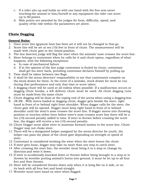- c. If a rider sits up and holds on with one hand with the free arm never touching the animal or him/herself or any equipment the rider can score up to 80 points.
- d. Ride points are awarded by the judges for form, difficulty, speed, and quality of the ride within the parameters set above.

# **Chute Dogging**

#### **General Rules:**

- 1. Once score line (gypsum line) has been set it will not be changed in that go.
- 2. Score line will be set at ten (10) feet in front of chute. The measurement will be made with chute gate in the closed position.
- 3. The line (barrier) judge will flag the start when the animals' nose crosses the score line.
- 4. Steer belongs to contestant when he calls for it and chute opens, regardless of what happens, with the following exceptions:
	- a. In case of mechanical failure.
	- b. If in the opinion of the line judge contestant is fouled by chute, contestant shall get his steer back, providing contestant declares himself by pulling up.
- 5. Time shall be taken between two flags.
- 6. It shall be the arena directors' responsibility to see that contestants compete on the stock drawn for them. In the event of a mistake, stock drawn for must be run during that performance and only that time or score taken.
- 7. A dogging chute will be used at all rodeos when possible. If a malfunction occurs or dogging chute breaks, a left delivery chute must be used. All chute dogging runs must be made from the same chute
- 8. Chute dogging will be done at the roping end of the arena when using a dogging box.
- 9. JR-SR With steers loaded in dogging chute, dogger gets beside the steer, right hand in front of or behind right front shoulder. When dogger calls for the steer, the chute gate will be opened. Dogger must keep right hand in front of or behind shoulder until the steer's nose crosses the score line. If dogger moves into throwing position or touches either horn before steer's nose crosses score line there will be a ten (10) second penalty added to time. If steer is thrown before crossing the score line, the dogger will receive a ten (10) second penalty.
- 10. Chute Dogger must allow steer to maintain forward motion to the score line. Chute Dogger may not choke steer.
- 11. There will be a designated helper assigned by the arena director for youth, the helper can pass the plane of the chute gate depending on strength or speed of steer.
- 12. Contestant is considered working the steer when the steer leaves the chute.
- 13. If steer gets loose, dogger may take no more than one step to catch steer.
- 14. After crossing the start line, the wrestler must bring it to a stop or change its direction and twist it down.
- 15. If steer is accidentally knocked down or thrown before being brought to a stop or is thrown by wrestler putting animal's horns into ground, it must be let up to all four feet and then thrown.
- 16. Steer will be considered thrown down only when it is lying flat on it side, or on its back with all four feet and head straight.
- 17. Wrestler must have hand on steer when flagged.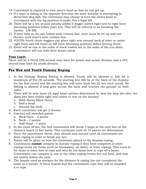- 18. Contestant is required to turn steer's head so that he can get up.
- 19. If a steer is falling in the opposite direction the steer wrestler is attempting to throw him (dog fall), the contestant may choose to turn the steers head to correspond with the leg position to make this a legal fall.
- 20. There will be a ten second penalty added if dogger moves right arm to right horn (throwing position) before start line. This will be referred to as breaking the barrier. (JR-SR)
- 21. If steer falls on its own before nose crosses line, steer must be let up and not thrown until steer's nose crosses line.
- 22. YOUTH-Youth chute doggers can place right arm around neck of steer or under right horn and left hand on left horn (throwing position) before leaving chute.
- 23. Event will be run in the order of stock loaded not in the order of the run sheet. Contestants will run with their drawn stock.

#### **Time Limit:**

There will be a thirty (30) second time limit for junior and senior division and a (45) second time limit for youth division.

# **Pee Wee and Youth Dummy Roping**

- 1. In the Dummy Roping fishing is allowed. Youth will be allowed to fish for a maximum of five (5) seconds. The starting line will be at the back of the dummy for the first round and the starting line will move back two (2) feet each round. No fishing is allowed if loop goes across the back and touches the ground on both sides.
- 2. There will be only three (3) legal head catches determined by how the loop lies after the slack has been pulled tight and comes to rest on the dummy:
	- a. Both Horns (Slick Horn).
	- b. Half a head.
	- c. Around the neck.
- 3. Each contestant will get 3 throws.
- 4. Catches will awarded points:
	- a. Slick Horn 3 points
	- b. Neck  $-2$  points
	- c. Half Head 1 point
- 5. In the event of ties, the tied contestants will throw 3 loops at the next line on the distance board (2 feet back). This continues until all 10 places are determined.
- 6. Once the contestants throw, they should stay around until all contestants are done roping in order to break any ties.
- 7. Points will be given on how the contestant places in the dummy roping.
- 8. Contestants **cannot** compete in dummy roping if they have competed in other roping events (on horse such as breakaway, tie-down, or team roping). This event is for those to learn how to rope and who do not know how to rope off a horse. Contestants can compete in one or the other roping events but not both, and may not switch within the year.
- 9. The boards used as markers for the distance & roping line are considered the same as a barrier. If these boards foul the contestants rope they will be awarded a re-rope.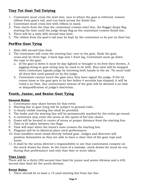# **Tiny Tot Goat Tail Untying**

- 1. Contestant must cross the start line, race to where the goat is tethered, remove ribbon from goat's tail, and run back across the finish line.
- 2. Contestant must cross line with ribbon in hand.
- 3. Time starts from the time the contestant crosses start line, the flagger drops flag starting the time until the judge drops flag as the contestant crosses finish line.
- 4. There will be a sixty (60) second time limit.
- 5. The ribbon from the goat's tail may be kept by the contestant to be put on their hat.

# **PeeWee Goat Tying**

- 1. Sixty (60) second time limit.
- 2. The contestant will cross the starting line, race to the goat, flank the goat, cross and tie three legs, 2 back legs and 1 front leg, Contestant must go down the rope to the goat,
	- a. (if the goat is down it must be day-lighted or brought to its feet) then thrown, A pigging string or goat string may be used to tie with. Run-time will be stopped when contestant signals judge by throwing both hands in the air. Tie must hold all three feet until passed on by the judge.
	- b. Contestant cannot touch the goat once they have signal the judge. If the tie comes loose or the goat gets to its feet before 4 seconds has elapsed, it will be ruled a no time. Any unnecessary misuse of the goat will be deemed a no time or disqualification at judge's discretion.

# **Youth, Junior, and Senior Goat Tying**

#### **General Rules:**

- 1. Contestants may share horses for this event.
- 2. Starting line in goat tying will be subject to ground rules.
- 3. A clearly visible starting line shall be provided.
- 4. The stake and the starting line will be permanently marked for the entire go-round.
- 5. A contestant may enter the arena at the speed of her\his choice.
- 6. Goats will be located in center of arena at proper distance from the starting line.
- 7. Time to be taken between two flags
- 8. Time will start when the horse's nose crosses the starting line.
- 9. Flagman will be in identical place each performance.
- 10. Goat handlers must stand directly behind goat. Judges and directors will position themselves so they are able to have a clear view of the goat rope and horse.
- 11. It shall be the arena director's responsibility to see that contestants compete on the stock drawn for them. In the event of a mistake, stock drawn for must be run during that performance and only that time or score taken.

#### **Time Limit:**

There will be a thirty (30) second time limit for junior and senior division and a (45) second time limit for the youth division.

#### **Event Rules:**

1. There should be at least a 15 yard starting line from hat line.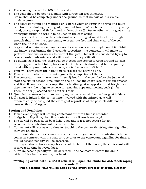- 2. The starting line will be 100 ft from stake.
- 3. The goat should be tied to a stake with a rope ten feet in length.
- 4. Stake should be completely under the ground so that no part of it is visible or above ground.
- 5. The contestant must be mounted on a horse when entering the arena and must ride from the starting line to goat, dismount from his\her horse, throw the goat by hand, cross, wrap and tie by hand, at least three (3) feet together with a goat string or pigging string. No wire is to be used in the goat string.
- 6. If the goat is down when the contestant reaches it, goat must be elevated high enough that it has the opportunity to regain its feet and then clear of the goat when the tie is finished.
- 7. Legs must remain crossed and secure for 6 seconds after completion of tie. While the judge is performing the 6-seconds procedure, the contestant will make no gestures, motions, or noises to distract the goat. This will be considered trying to take an unfair advantage and will result in a disqualification.
- 8. To qualify as a legal tie, there will be at least one complete wrap around at least three legs, and a half hitch, hooey or knot. The contestant must tie the goat by hand with no pre- made wraps coils, knots, hooeys or half hitch.
- 9. Time will start when the horse's nose crosses the starting line.
- 10. Time will stop when contestant signals the completion of the tie.
- 11. The contestant must move back three (3) feet from the goat before the judge will start the six (6) second time limit on the tie – for the goat's legs to remain crossed and tied. If contestant gets rope that is holding goat wrapped around his\her leg they may ask the judge to remove it, removing rope and moving back (3) feet. Then, the six (6) second time limit will start.
- 12. Qualified persons other than goat tying contestants will be used as goat holders.
- 13. If a goat is injured, the contestants involved with the injured goat will automatically be assigned the extra goat regardless of the possible difference in runs or ties on the goat.

#### **Scoring and Penalties:**

- 1. Timed event judge will not flag contestant out until time is recorded.
- 2. Judge is to flag time, then flag contestant out if run is not legal.
- 3. The tie will be passed on by a field judge and if it is not secure for six seconds, the contestant will receive a no time.
- 4. Contestant will receive a no time for touching the goat or tie string after signaling they are finished.
- 5. If the contestant's horse crosses over the rope or goat, or if the contestant's horse comes in contract with the goat or rope prior to the contestant signaling for time, a five (5) second penalty will be assessed.
- 6. If the goat should break away because of the fault of the horse, the contestant will receive a no time between flags.
- 7. A five (5) second penalty will be assessed if the contestant enters the arena without his/ her hat on his/her head.

#### **\*\*\*\*Roping event note - a SAYR official will open the chute for ALL stock roping events \*\*\*\***

**When possible, this will be done by the event director or arena director.**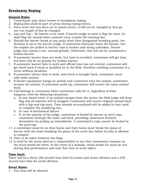## **Breakaway Roping**

#### **General Rules:**

- 1. Contestants may share horses in breakaway roping.
- 2. Roping Box shall be part of arena during roping events.
- 3. Once score line has been set in timed events, it will not be changed in that go, nor can length of box be changed.
- 4. Lap and Tap No barrier to be used. If barrier judge is used to flag the start, he shall flag the animal when animal's nose crosses the starting line.
- 5. Should the barrier break at any point other than designated breaking point, the decision is up to the barrier judge. If contestant obviously beats the barrier, but the staples are pulled or barrier rope is broken and string unbroken, barrier judge may assess a ten- second penalty. Otherwise, this will not be considered a broken barrier.
- 6. If automatic barrier does not work, but time is recorded, contestant will get time, but there will be no penalty for broken barrier.
- 7. If automatic barrier fails to work and official time has not started, contestant will get stock back if stock is qualified on in the field, therefore entitling contestant to a rerun without penalties.
- 8. If automatic barrier fails to work, and stock is brought back, contestant must take same animal.
- 9. If barrier equipment hangs on animal and contestant tries the animal, contestant accepts the animal, if contestant pulls up; contestant will receive the same animal back.
- 10. Calf belongs to contestant when contestant calls for it, regardless of what happens, with the following exceptions:
	- a. In any timed event, if an animal escapes from the arena, the field judge will drop flag and all watches will be stopped, Contestant will receive original animal back with a lap-and-tap start, Time already accumulated will be added to time used to complete the qualifying run,
	- b. In case of mechanical failure.
	- c. If, in the opinion of the judge, contestant is fouled by barrier or neck rope, contestant shall get the same calf back, providing contestant declares themselves by pulling up immediately. A contestant's rope cannot be fouled by the pull rope.
- 11. A contestant must be on their horse and their horse must break the plane of barrier with the draw breaking the plane of the score line before he\she is allowed to compete.
- 12. Time to be taken between two flags.
- 13. It shall be the arena director's responsibility to see that contestants compete on the stock drawn for them. In the event of a mistake, stock drawn for must be run during that performance and only that time or score taken.

#### **Time limit:**

There will be a thirty (30) second time limit for junior and senior division and a (45) second time limit for youth division.

#### **Event Rules:**

1. One loop will be allowed.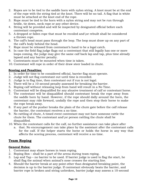- 2. Ropes are to be tied to the saddle horn with nylon string. A knot must be at the end of the rope with the string tied at the knot. There will be no tail. A flag that is white must be attached at the knot end of the rope.
- 3. Rope must be tied to the horn with a nylon string and may not be run through bridle, tie down, neck rope or any other device.
- 4. String will be provided and will be inspected by designated official before each contestant competes.
- 5. A dropped or fallen rope that must be recoiled and\or rebuilt shall be considered a thrown rope.
- 6. The calf's head must pass through the loop. The loop must draw up on any part of the calf's body behind the head.
- 7. Rope must be released from contestant's hand to be a legal catch.
- 8. In case the field flag judge flags out a contestant that still legally has one or more loops coming, the judge may give the same calf back lap and tap, plus time already lapsed and any barrier penalty.
- 9. Contestants must be mounted when time is taken.
- 10. Contestant will rope in order of their draw steer loaded in chute.

#### **Scoring and Penalties:**

- 1. In order for time to be considered official, barrier flag must operate.
- 2. Judge will not flag contestant out until time is recorded.
- 3. Judge is to flag time, then contestant out if run is not legal.
- 4. There will be a 10-second penalty assessed for breaking the barrier.
- 5. Roping calf without releasing loop from hand will result in a No Time.
- 6. Contestant will be disqualified for any abusive treatment of calf or contestant horse.
- 7. The contestant will be disqualified should contestant break the rope away from the saddle horn by hand. However, if the rope should dally around the horn, the contestant may ride forward, undally the rope and then stop their horse to make the rope break away.
- 8. If any part of the pusher breaks the plain of the chute gate before the calf release the barrier, the contestant receives a no time.
- 9. No rattling of chute, A timed event contestant may not have someone rattle the chute for them. The contestant and\or person rattling the chute shall be disqualified.
- 10. When the contestant calls for the calf, no further assistance can take place after
	- a. that. No encouragement can take place by the assistant after the contestant calls for the calf. If the helper starts the horse or holds the horse in any way that affects the scoring process, contestant will receive a no time.

# **Team Roping**

#### **General Rules:**

- 1. Contestant may share horses in team roping.
- 2. Roping Box shall be a part of the arena during team roping.
- 3. Lap and Tap no barrier to be used. If barrier judge is used to flag the start, he shall flag the animal when animal's nose crosses the starting line.
- 4. Should the barrier break at any point other than designated breaking point, the decision is up to the barrier judge. If contestant obviously beats the barrier, and barrier rope is broken and string unbroken, barrier judge may assess a 10-second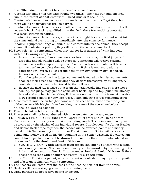fine. Otherwise, this will not be considered a broken barrier.

- 5. A contestant may enter the team roping two times one head run and one heel run. A contestant **cannot** enter with 2 head runs or 2 heel runs.
- 6. If automatic barrier does not work but time is recorded, team will get time, but there will be no penalty for broken barrier.
- 7. If automatic barrier fails to work and official time has not started, contestant will get stock back if stock is qualified on in the field, therefore, entitling contestant to a rerun without penalties.
- 8. If automatic barrier fails to work, and stock is brought back, contestant must take the same animal over during or immediately after the same performance.
- 9. If barrier equipment hangs on animal and contestants try the animal, they accept animal. If contestants pull up, they will receive the same animal back.
- 10. Steer belongs to contestants when they call for it, regardless of what happens with the following exceptions:
	- a. In any timed event, if an animal escapes from the arena, the field judge will drop flag and all watches will be stopped. Contestant will receive original animal back with a lap-and-tap start. Time already accumulated will be added to time used to complete the qualifying run. If time is not recorded, the contestant will receive a 10-second penalty for any jump or any loop used.
	- b. In cases of mechanical failure.
	- c. If, in the opinion of the line judge, contestant is fouled by barrier, contestants shall get their steer back, providing they declare themselves by pulling up. A contestant's rope cannot be fouled by the pull rope.
	- d. In case the field judge flags out a team that still legally has one or more loops coming, the judge may give the same steer back, lap and tap, plus time already lapsed and any barrier penalties, If time was not recorded, the team will receive a 10-second penalty for any loop used. Team only gets to use remaining loops.
- 11. A contestant must be on his\her horse and his\her horse must break the plane of the barrier with his\her draw breaking the plane of the score line before he/she is allowed to compete.
- 12. Time to be taken between two flags.
- 13. This event shall not be conducted with an open catch pen at any rodeo.
- 14. JUNIOR & SENIOR DIVISIONS: Team Ropers must enter and call in as a team. Partners can be from any age division including Youth. The points and money will be awarded by the placing of the individual ropers. Clarification: If a Junior Header and Senior Heeler rope together, the header will be awarded points and money based on his/her standing in the Junior Division and the Senior will be awarded points and money based on his/her standing in the Senior Division. If a contestant cannot find a partner, one will be drawn for them from the contestants entered in this rodeo from the Junior and Senior Divisions.
	- a. YOUTH DIVISION: Youth Division team ropers can enter as a team with a team roper in any division. The points and money will be awarded by the placing of the individual contestants. See clarification under Junior & Senior Divisions. If they chose not to rope with another contestant Rule 16 will apply.
- 15. In the Youth Division a parent, non-contestant or contestant may rope the opposite end of a team roping run with a contestant.
- 16. The headers will enter from the back of the heading box, not from the arena.
- 17. Heelers will have a staging area prior to entering the box.
- 18. Draw partners do not receive points or payout.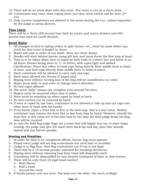- 19. There will be no stock draw with this event. The event is run as a chute draw.
- 20. Contestants may enter team roping twice, but they must switch end for their  $2<sup>nd</sup>$ run.
- 21. Only current competitors are allowed in the arena during the run, unless requested by the judge or arena director.

#### **Time Limit:**

There will be a thirty (30) second time limit for junior and senior division and (45) second time limit for youth division.

#### **Event Rules:**

- 1. All changes in lists of roping orders to split horses, etc., must be made before any stock for that event is loaded in chute.
- 2. Roper will rope in order of run sheet. Steer are chute drawn.
- 3. Header will start behind barrier using left box, and must throw the first loop at head.
- 4. Time is to be taken when steer is roped by both ends in a direct line and horse is on all fours. Horses facing steer in "L" or better, with ropes tight and dallied. Clarification: Direct line refers to head rope being directly from saddle horn to head of steer, and heel rope directly from saddle horn to heels of steers.
- 5. Each contestant will be allowed to carry only one rope.
- 6. Each team allowed two throws (2 loops) total.
- 7. Roping steer without turning lose of the loop will be considered a no catch.
- 8. Roper must dally to stop steer or change steer's direction.
- 9. No tied ropes allowed.
- 10. The word "dally" means one complete turn around the horn.
- 11. Ropers must be mounted when time is taken.
- 12. Steer must be standing up when roped by head or heels
- 13. No foul catches can be removed by hand.
- 14. If steer is roped by one horn, contestant is not allowed to ride up and out rope over other horn or head with his hands.
- 15. If the heeler ropes a front foot or feet in the heel loop, this is a foul catch. Neither contestant may remove the front foot or feet from loop by hand. However, should the front foot or feet come out of the heel loop by the time the field judge drops his flag, time will be counted.
- 16. In case the field flag judge flags out a team that still legally has one or more loops coming, the judge may give the same steer back lap and tap, plus time already lapsed and any barrier penalty.

#### **Scoring and Penalties:**

- 1. In order for time to be considered official, barrier flag must operate.
- 2. Timed event judge will not flag contestants out until time is recorded.
- 3. Judge is to flag time, then flag contestants out if run is not legal.
- 4. There will be a 10-second penalty assessed for breaking the barrier.
- 5. Roping steer without releasing loop from hand will disqualify catch.
- 6. Contestant will be disqualified for any abusive treatment of steer or their horses.
- 7. There will be only three (3) legal head catches"
	- a. Both Horns.
	- b. Half a head.
	- c. Around the neck.
- 8. If honda passes over one horn. The loop over the other, the catch is illegal.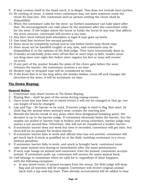- 9. If loop crosses itself in the head catch, it is illegal. This does not include heel catches.
- 10. No rattling of chute. A timed event contestant may not have someone rattle the chute for him\her. The contestant and\or person rattling the chute shall be disqualified.
- 11. When the contestant calls for the steer, no further assistance can take place after that. No encouragement can take place by the assistant after the contestant calls for the steer. If the helper starts the horse or holds the horse in any way that affects the score process, contestant will receive a not time.
- 12. Any heel catch behind both shoulders is legal if rope goes up heels.
- 13. One hind foot receives five-second penalty.
- 14. Steer must be completely turned and in tow before heeler may throw rope.
- 15. Steer must not be handled roughly at any time, and cotestants may be disqualified if, in the opinion of the field judge. They have intentionally done so.
- 16. If header accidentally jerks steer off his feet or steer trips or falls, header must not drag steer over eight feet before steer regains his feet or team will receive no score.
- 17. If any part of the pusher breaks the plain of the chute gate before the steer releases the barrier, the contestant receives a no time.
- 18. Broken rope or dropped rope will be considered no time.
- 19. If the front foot is in the loop when the header dallies, turns off and changes the direction of the steer, it will be automatic no time.

# **Tie-Down Roping:**

#### **General Rules:**

- 1. Contestant may share horses in Tie-Down Roping.
- 2. Roping Box shall be part of the arena during roping events.
- 3. Once score line has been set in timed events it will not be changed in that go, nor can length of box be changed.
- 4. Lap and Tap No barrier to be used. If barrier judge is used to flag that start, he shall flag the animal when animal's nose crosses the starting line.
- 5. Should the barrier break at any point other then designated breaking point, the decision is up to the barrier judge. If contestant obviously beats the barrier, but the staples are pulled or barrier rope is broken and string unbroken, barrier judge may assess a ten second fine. Otherwise, this will not be considered a broken barrier.
- 6. If automatic barrier does not work but time is recorded, contestant will get time, but there will be no penalty for broken barrier.
- 7. If automatic barrier fails to work and official time has not started, contestant will get stock back if stock is qualified on in the field, entitling contestant to a rerun without penalties.
- 8. If automatic barrier fails to work, and stock is brought back, contestant must take same animal over during or immediately after the same performance.
- 9. If neck rope hangs on animal and contestant tries the animal, contestant accepts animal. If contestant pulls up, contestant will receive the same animal back.
- 10. Calf belongs to contestant when he calls for it, regardless of what happens, with the following exception:
	- a. In any timed event, if animal escapes from the arena, the field judge will drop flag and all watches will be stopped. Contestant will receive original animal back with a lap-and-tap start. Time already accumulated will be added to time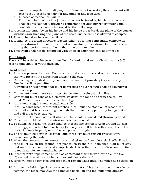used to complete the qualifying run. If time is not recorded, the contestant will receive a 10-second penalty for any jump or any loop used.

- b. In cases of mechanical failure.
- c. If in the opinion of the line judge contestant is fouled by barrier, contestant shall get his calf back, providing contestant declares himself by pulling up, A contestant's rope cannot be fouled by the pulled rope.
- 11. A contestant must be on his horse and his horse must break the plane of the barrier with his draw breaking the plane of the score line before he is allowed to compete.
- 12. Time to be taken between two flags.
- 13. It shall be the arena director's responsibility to see that contestants compete on the stock drawn for them. In the event of a mistake, stock drawn for must be run during that performance and only that time or score taken.
- 14. This event shall not be conducted with an open catch pen gate at any rodeo.

#### **Time Limit:**

There will be a thirty (30) second time limit for junior and senior division and a (45) second time limit for youth division.

#### **Event Rules:**

- 1. A neck rope must be used. Contestants must adjust rope and reins in a manner that will prevent the horse from dragging the calf.
- 2. Calves may be pushed out by contestant's assistant providing they are ready.
- 3. One loop will be permitted.
- 4. A dropped or fallen rope that must be recoiled and\or rebuilt shall be considered a thrown rope.
- 5. Contestant cannot receive any assistance after crossing starting line.
- 6. Contestant must rope calf, dismount, go down the rope and throw the calf by hand. Must cross and tie at least three legs.
- 7. Any catch is legal, catch as catch can rule.
- 8. If calf is down when contestant reaches it, calf must be stood on at least three feet.(Calf must be elevated high enough that it has the opportunity to regain its feet) and calf must be re-thrown.
- 9. If contestant's hand is on calf when calf falls, calf is considered thrown by hand.
- 10. Rope must hold calf until contestant gets hand on calf.
- 11. To qualify as a legal tie, there shall be at least one complete wrap around at least three legs, and a half hitch or hooey (A hooey is a half hitch with a loop, the tail of the string may be partly or all the way pulled through).
- 12. The tie must hold five (5) seconds, and three legs must remain crossed until passed on by the judge.
- 13. When the contestant remounts horse and gives calf complete slack (Clarification: rope must lay on the ground, not just touch it) the run is finished. Calf must stay tied until rider remounts and complete slack is in the rope. Five (5) second tie time is required after remounting horse.
- 14. If contestant's rope comes off calf as contestant starts to work with tie, the five (5) second time will start when contestant clears the calf.
- 15. Rope will not be removed and rope must remain slack until field judge has passed on tie.
- 16. In case the field judge flags out a contestant that still legally has one or more loops coming, the judge may give the same calf back, lap and tap, plus time already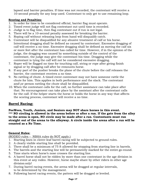lapsed and barrier penalties. If time was not recorded, the contestant will receive a 10-second penalty for any loop used. Contestant to only get to use remaining loop.

#### **Scoring and Penalties:**

- 1. In order for time to be considered official, barrier flag must operate.
- 2. Timed event judge will not flag contestant out until time is recorded.
- 3. Judge is to flag time, then flag contestant out if run is not legal.
- 4. There will be a 10-second penalty assessed for breaking the barrier.
- 5. Roping calf without releasing loop from hand will disqualify catch.
- 6. Contestant will be disqualified for any abusive treatment of calf or his horse. Intentional dragging shall be defined as caused by contestant. Excessive dragging of calf will receive a no time. Excessive dragging shall be defined as moving the calf six or more feet after the contestant has called for time. However, if in the opinion of the judge, the dragging was caused by something outside of the control of the contestant, the judge may give the contestant his time. Dragging while the contestant is tying the calf will not be considered excessive dragging.
- 7. Roper will be flagged no time for touching calf, string or rope after giving finish signal or by dragging calf after he remounts horse.
- 8. If any part of the pusher breaks the plane of the chute before the calf releases the barrier, the contestant receives a no time.
- 9. No rattling of chute. A timed event contestant may not have someone rattle the chute for him. This applies in both performance and the slack. The contestant and\or person rattling the chute shall be disqualified.
- 10. When the contestant calls for the calf, no further assistance can take place after that. No encouragement can take place by the assistant after the contestant calls for the calf. If the helper starts the horse or holds the horse in any way that affects the scoring process, contestant will receive a no time.

# **Barrel Racing:**

**PeeWees, Youth, Juniors, and Seniors may NOT share horses in this event. \*\*\* NO circling is allowed in the arena before or after a run. If the gate from the alley to the arena is open, NO circle may be made after a run. Contestants must run straight out of the arena to the alleyway. A circle inside the arena after a run will be counted as a No Time.** 

## **General Rules:**

(RODEO rules – NBHA rules do NOT apply.)

- 1. Starting lines in clover-leaf barrel racing will be subjected to ground rules.
- 2. A clearly visible starting line shall be provided.
- 3. There shall be a minimum of 75 ft allowed for stopping from starting line in barrels.
- 4. The barrels and the starting line will be permanently marked for the entire go-round.
- 5. Time starts when horse's nose crosses the starting line.
- 6. A barrel horse shall not be ridden by more than one contestant in the age division in this event at any rodeo. However, horse maybe share by other riders in other age division only!
- 7. During barrel racing events, the arena will be dragged at regular intervals, to be determined by the management.
- 8. Following barrel racing events, the pattern will be dragged or leveled.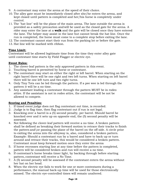- 9. A contestant may enter the arena at the speed of their choice.
- 10. The alley gate must be immediately closed after she/he enters the arena, and kept closed until pattern is completed and her/his horse is completely under control.
- 11. The "hat line" will be the plane of the main arena. The lane outside the arena is provided as a safety precaution and will be used as the closed gate for the arena. A rider may enter the lane at a **walk** and the gate will be closed once they have entered the lane. The helper may assist in the lane but cannot break the hat line. Once the run is completed, the horse must come to a complete stop before exiting the lane.
- 12. The contestant cannot start their run from the parking lot or before the gate.
- 13. Hat line will be marked with ribbon.

#### **Time Limit:**

Contestant will be allowed legitimate time from the time they enter alley gate until contestant time starts by Field Flagger or electric eye.

#### **Event Rules:**

- 1. The clover-leaf pattern is the only approved pattern in this event.
- 2. Touching barrel is permitted by horse or contestant.
- 3. The contestant may start on either the right or left barrel. When starting on the right barrel there will be one right and two left turns. When starting on left barrel there will be one left turn and two right turns.
- 4. Only Tiny Tots can be led through the pattern. If a pee wee is led through the pattern it will be a no time.
- 5. Any assistant leading a contestant through the pattern MUST be in rodeo attire. If the assistant is not in rodeo attire, the contestant will be not be allowed to compete.

#### **Scoring and Penalties:**

- 1. If timed event judge does not flag contestant out time, is recorded.
- 2. Judge is to flag time, then flag contestant out if run is not legal.
- 3. Knocking over a barrel is a (5) second penalty, per barrel. Should barrel be knocked over and it sets up on opposite end, the (5) second penalty will be assessed.
- 4. Not following the clover-leaf pattern will receive a no time. A broken pattern shall be defined as breaking their forward motion to retrace their tracks to finish the pattern and\or passing the plane of the barrel on the off side. A circle prior to exiting the arena into the alleyway is, also, considered a broken pattern. Example: Should a contestant run by a barrel and have to back up or turn around and retrace their tracks, this would be considered a broken pattern. Contestant must keep forward motion once they enter the arena
- 5. If horse recrosses starting line at any time before the pattern is completed, pattern will be considered broken and run will receive a no time.
- 6. If contestant's horse breaks timer light, by backing through before starting pattern, contestant will receive a No Time.
- 7. A (5) second penalty will be assessed if the contestant enters the arena without her hat on her head.
- 8. When the electric eye fails to work for one or more contestants during a performance, the manual back-up time will be used for those electronically missed. The electric eye-controlled times will remain unaltered.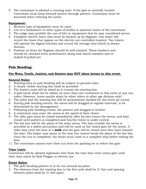9. The contestant is allowed a running start. If the gate is centrally located. Contestant must keep forward motion through pattern. Contestant must be mounted when entering the arena.

#### **Equipment:**

- 1. Western type of equipment must be used.
- 2. Use of a hackamore or other types of bridles is optional choice of the contestant.
- 3. The judge may prohibit the use of bits or equipment that he may considered severe.
- 4. Complete electric timer that must be backed up by flagman. One timer will record the times that appear on the electric eye-controlled readout. Two timers will operate the digital watches and record the average time which is shown thereon.
- 5. Position on fence for flagman should be well marked. These markers and should be checked every performance along with barrel markers and restaked if pulled out.

# **Pole Bending:**

#### **Pee Wees, Youth, Juniors, and Seniors may NOT share horses in this event.**

#### **General Rules:**

- 1. Starting lines in pole bending will be subject to ground rules.
- 2. A clearly visible starting line shall be provided.
- 3. The horse's nose will be timed as it crosses the starting line.
- 4. A pole horse shall not be ridden by more than one contestant in this event at any one rodeo. However, horse maybe share by other riders in other age division only!
- 5. The poles and the starting line will be permanently marked for the entire go-round.
- 6. During pole bending events, the arena will be dragged at regular intervals, to be determined by the management.
- 7. Following pole bending events, the pattern will dragged or leveled.
- 8. A contestant may enter the arena at the speed of their choice.
- 9. The alley gate must be closed immediately after he/she enters the arena, and kept closed until pattern is completed and his/her horse is under control.
- 10. The hat line will be the plane of the main arena. The lane outside the arena is provided as a safety precaution and will be used as the closed gate for the arena. A rider may enter the lane at a **walk** and the gate will be closed once they have entered the lane. The helper may assist in the lane but cannot break the plane of the hat line. Once the run is completed, the horse must come to a complete stop before exiting the lane.
- 11. The contestant cannot start their run from the parking lot or before the gate.

## **Time Limit:**

Contestant will be allowed legitimate time from the time they enter arena gate until their time starts by field Flagger or electric eye.

#### **Event Rules:**

- 1. The pole bending pattern is to be run around six poles.
- 2. The distance from the starting line to the first pole shall be 21 feet and spacing between poles shall be 21 feet apart.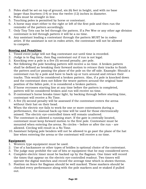- 3. Poles shall be set on top of ground, six (6) feet in height, and with no base larger than fourteen (14) or less the twelve (12) inches in diameter.
- 4. Poles must be straight in line.
- 5. Touching poles is permitted by horse or contestant.
- 6. A horse may start either to the right or left of the first pole and then run the reminder of the pattern accordingly.
- 7. Only Tiny Tots can be led through the pattern. If a Pee Wee or any other age division contestant is led through pattern it will be a no time.
- 8. Any assistant leading a contestant through the pattern MUST be in rodeo attire. If the assistant is not in rodeo attire, the contestant will not be allowed to compete.

#### **Scoring and Penalties:**

- 1. Timed event judge will not flag contestant out until time is recorded.
- 2. Judge is to flag time, then flag contestant out if run is not legal.
- 3. Knocking over a pole is a five (5) second penalty, per pole.
- 4. Not following the pole bending pattern will receive a no time. A broken pattern shall be defined as breaking their forward motion to retrace their tracks to finish the pattern and\or passing the plane of the pole on the off side. Example: Should a contestant run by a pole and have to back up or turn around and retrace their tracks. This would be considered a broken pattern. Also, if a pole is knocked down and the contestant does not follow the weave pattern around the original base position of the fallen pole, it is considered a broken pattern.
- 5. If horse recrosses starting line at any time before the pattern is completed, pattern will be considered broken and run will receive no time.
- 6. If contestant's horse breaks timer light, by backing through before starting time, contestant will receive a No Time.
- 7. A five (5) second penalty will be assessed if the contestant enters the arena without their hat on their head.
- 8. When the electric eye fails to work for one or more contestants during a performance, the manual back-up time will be used for those electronically missed. The electric eye-controlled times will remain unaltered.
- 9. The contestant is allowed a running start. If the gate is centrally located, contestant must keep forward motion to the first pole. Contestant must be mounted when entering the arena. No circles – before or after the run – are allowed. Circling will result in a No Time.
- 10. Assistant helping pole benders will not be allowed to go past the plane of the hat line when entering the arena or the contestant will receive a no time.

#### **Equipment:**

- 1. Western type equipment must be used.
- 2. Use of a hackamore or other types of bridles is optional choice of the contestant.
- 3. The judge may prohibit the use of bits or equipment that he may considered serve.
- 4. Complete electric timer must be backed up by the flagman. One timer will record the times that appear on the electric eye-controlled readout. Two timers will operate the digital watches and record the average time which is shown thereon.
- 5. Position on fence for flagman should be well marked. These markers should be checked every performance along with the pole markers and re-staked if pulled out.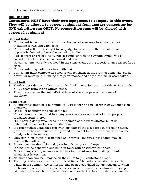6. Poles used for this event must have rubber bases.

# **Bull Riding:**

## **Contestants MUST have their own equipment to compete in this event. They will be allowed to borrow equipment from another competitor for ONE exhibition run ONLY. No competition runs will be allowed with borrowed equipment.**

#### **General Rules:**

- 1. Contestant is not to use sharp spurs. No part of spur may have sharp edges including rowels and wire locks.
- 2. Contestant will have the right to call judge to pass on whether or not animal is properly flanked to buck the best of its ability.
- 3. Fall- If chest or brisket, belly, side or rump contacts the ground animal will be considered fallen. Knee is not considered fallen.
- 4. No contestants will ride two head in the same event during a performance except for rerides.
- 5. Contestants may pull ropes from either side.
- 6. Contestant must compete on stock drawn for them. In the event of a mistake, stock drawn for must be run during that performance and only that time or score taken.

#### **Time Limit:**

- 1. Youth must ride the bull for 6 seconds. Juniors and Seniors must ride for 8 seconds. **a. Judges' time is the official time.**
- 2. Time to start when the animal's inside front shoulder passes the plane of the chute.

#### **Event Rules:**

- 1. All bull ropes must be a minimum of 7/16 inches and no larger than 3/4 inches in diameter.
- 2. Bell must be under the belly of the bull.
- 3. Ropes cannot be used that have any knots, wires or other aids for the purpose of placing spurs therein.
- 4. Bulls having dangerous horns in the opinion of the event director must be dehorned, tipped, or kept out of the draw.
- 5. If a rider makes a qualified ride with any part of the loose rope in his riding hand, provided he has not touched the ground or has not fouled the animal with his free hand, he is to be marked.
- 6. Only five (5) point plain or notched spur rowels (one rowel per shank) may be used in the bull riding.
- 7. Riders may use dry rosin and glycerin only on glove and rope.
- 8. Riding is to be done with one hand in rope, with or without handhold.
- 9. No split finger wrap, no knots or hitches to prevent rope from falling off bull. When rider leaves him.
- 10. No more than two men may be on the chute to pull contestant's rope.
- 11. The judge's stopwatch will be the official timer. The judge shall stop his watch when, in his opinion, the contestant has been disqualified for any reason, or when he hears the whistle or horn, whichever comes first. In either instance, the judge will refer to his watch for time verification on each ride. In any instance where the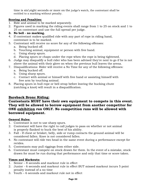time is six\eight seconds or more on the judge's watch, the contestant shall be entitled to a marking without penalty.

#### **Scoring and Penalties:**

- 1. Ride and animal to be marked separately.
- 2. Figures used in marking the riding events shall range from 1 to 25 on stock and 1 to 25 on contestant and use the full spread per judge.

### **3. No bell - no marking.**

- 4. If contestant makes qualified ride with any part of rope in riding hand, contestant is to be marked.
- 5. Contestant will receive no score for any of the following offenses:
	- a. Being bucked off.
	- b. Touching animal, equipment or person with free hand.
	- c. Using sharp spurs.
	- d. Placing spurs or chaps under the rope when the rope is being tightened.
- 6. Judge may disqualify a bull rider who has been advised they're next to go if he is not above the animal with their glove on when the previous bull leaves the arena.
- 7. Disqualifications: Rider will receive a No Time for any of the following offenses:
	- a. Being bucked off.
	- b. Using sharp spurs.
	- c. Contact with animal or himself with free hand or assisting himself with free arm by touching animal.
- 8. Placing spurs in bull rope or bell strap before leaving the bucking chute (catching a knot) will result in a disqualification.

# **Bareback Bronc Riding:**

## **Contestants MUST have their own equipment to compete in this event. They will be allowed to borrow equipment from another competitor for ONE exhibition run ONLY. No competition runs will be allowed with borrowed equipment.**

#### **General Rules:**

- 1. Contestant is not to use sharp spurs.
- 2. Contestant will have the right to call judges to pass on whether or not animal is properly flanked to buck the best of his ability.
- 3. Fall If chest or brisket, belly, side or rump contacts the ground animal will be considered fallen. Knee is not considered fallen.
- 4. No contestant will ride two head in the same event during a performance except for rerides.
- 5. Contestants may pull riggings from either side.
- 6. Contestant must compete on stock drawn for them. In the event of a mistake, stock drawn for must be run during that performance and only that time or score taken.

#### **Times and Markouts:**

- 1. Senior 8 seconds and markout rule in effect
- 2. Junior 6 seconds and markout rule in effect BUT missed markout incurs 5 point penalty instead of a no time
- 3. Youth 6 seconds and markout rule not in effect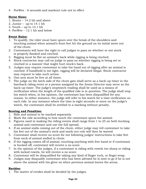4. PeeWee - 6 seconds and markout rule not in effect

## **Horse Sizes:**

- 1. Senior 14.2 hh and above
- 2. Junior up to 14.1 hh
- 3. Youth up to 13.1 hh
- 4. PeeWee 12.1 hh and below

### **Event Rules:**

- 1. To qualify, the rider must have spurs over the break of the shoulders and touching animal when animal's front feet hit the ground on its initial move out of the chute.
- 2. Contestants will have the right to call judges to pass on whether or not stock is properly flanked and cinched.
- 3. Rigging must lie flat on animal's back while rigging is being cinched.
- 4. Stock contractor may call on judge to pass on whether rigging is being set or cinched in a manner that might hurt stock's back.
- 5. Judges may require contestant to take his hand out of rigging after an animal is cinched. If handhold is too tight, rigging will be declared illegal. Stock contractor may request to take such action.
- 6. One arm must be free at all times.
- 7. The judge on the latch side of the chute gate shall serve as a back-up timer in the bareback riding event or a person assigned by the Arena Director may serve as the back-up timer. The judge's stopwatch reading shall be used as a means of verification when the length of the qualified ride is in question. The judge shall stop his watch when, in his opinion, the contestant has been disqualified for any reason. In either instance, the judge will refer to his watch for a time verification on each ride. In any instance where the time is eight seconds or more on the judge's watch, the contestant shall be entitled to a marking without penalty.

## **Scoring and Penalties:**

- 1. Ride and animal to be marked separately.
- 2. Mark the ride according to how much the contestant spurs the animal.
- 3. Figures used in making the riding events shall range from 1 to 25 on both bucking animal and contestant and use the full spread.
- 4. If an animal stalls coming out of the chute, either judge may tell contestant to take his feet out of the animal's neck and mark-out rule will then be waived.
- 5. Contestant shall receive no score for not following judges' instructions to take feet from neck of animal stalled in chute.
- 6. If the rigging comes off of animal, touching anything with free hand or if contestant is bucked off, contestant will receive a no score.
- 7. In the opinion of the judges, if a contestant is riding with rowels too sharp or riding with locked rowels, he will receive a no score.
- 8. Contestant will be disqualified for taking any kind of finger tuck, or finger wrap.
- 9. Judges may disqualify contestant who has been advised he is next to go if he is not above the animal with his glove on when previous animal leaves the arena.

## **Rerides:**

1. The matter of rerides shall be decided by the judges.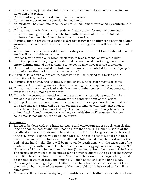- 2. If reride is given, judge shall inform the contestant immediately of his marking and an option of a reride.
- 3. Contestant may refuse reride and take his marking.
- 4. Contestant must make his decision immediately.
- 5. No reride will be given due to faulty or broken equipment furnished by contestant in any event.
- 6. If an animal that is drawn for a reride is already drawn for another contestant a. in the same go-round, the contestant with the animal drawn will take it before the man who draws the animal for a reride.
- 7. If animal that is drawn for a reride is already drawn for another contestant in a later go-round, the contestant with the reride in the prior go-round will take the animal first.
- 8. When a final head is to be ridden in the riding events, at least two additional head of stock will be available for rerides.
- 9. Rerides may be given only when stock fails to break, stops, or fouls the rider.
- 10. If, in the opinion of the judges, a rider makes two honest efforts to get out on a chute-fighting animal and is unable to do so, he may have a reride drawn for.
- 11. Contestants who are fouled at chute and declare will be entitled to reride at judge's discretion, or the mark out rule may be waived.
- 12. If animal falls down out of chute, contestant will be entitled to a reride at the discretion of the judges.
- 13. If animal loses flank, fails to break, stops, or fouls rider, rider may take same animal back, providing stock contractor is willing, or he may have reride drawn.
- 14. If an animal that runs off is already drawn for another contestant, that contestant must take the animal already drawn.
- 15. If that is the second consecutive time the animal has run off, he must be taken out of the draw and an animal drawn for the contestant out of the rerides.
- 16. If the pickup man or horse comes in contact with bucking animal before qualified time has elapsed, reride will be given on same animal drawn. Only exception to this rule is if it is that rodeo's last day. The last day, contestant may have same animal back if stock contractor is willing, or reride drawn if requested. If stock contractor is not willing, reride will be drawn.

#### **Equipment:**

- 1. Riding to be done with one-handed rigging and contestant must supply own rigging.
- 2. Rigging shall be leather and shall not be more than ten (10) inches in width at the handhold and not over six (6) inches wide at the "D" ring. Latigo cannot be blocked in the "D" ring. Riggings will use a standard "D" ring to be set to sit flat on horses back when cinched. No freaks will be allowed. Only rawhide may be used under the body of the hand-hold. There will be no rawhide restrictions with the exception of no rawhide may be within one (1) inch of the back of the rigging body excluding the "D" ring wrap which may be no more than two (2) inches up from the bottom of the body. The rigging body must also be spread nine (9) inches apart at the back of the rigging four (4) inches down from the center. The handle bars under the rigging body must be tapered down to at least one-fourth (1/4) inch at the end of the handle bar.
- 3. Rider may have a single layer of leather under handhold which will extend at least one inch on both sides of the center of the handhold not to be skived and shall be glued down.
- 4. No metal will be allowed in riggings or hand-holds. Only leather or rawhide is allowed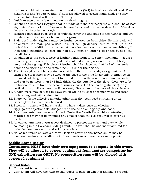for hand- hold, with a maximum of three-fourths (3/4) inch of rawhide allowed. Flathead rivets and/or screws and "t" nuts are allowed to secure hand-hold. The only other metal allowed will be in the "D" rings.

- 5. Quick release buckle is optional on bareback rigging.
- 6. Cinches on bareback riggings shall be made of mohair or neoprene and shall be at least eight (8) inches in width at the center, but may be tapered to accommodate cinch "D" or rings. Latigos may be of leather or nylon.
- 7. Required bareback pads are to completely cover the underside of the riggings and are to extend a full two inches behind the rigging.
- 8. Pads used under riggings must be leather covered on both sides. No hair pads will be allowed. If a foam pad is used, it must be high density foam at least 3/4 of an inch thick. In addition, the pad must have leather over the bars one-eighth (1/8) inch thick extending at least one-half (1/2) inch on either side or the back of the handle bars.
- 9. In addition to the pad, a piece of leather a minimum of 1/8 inch thick and 4" square must be glued or sewed to the pad and centered in comparison to the total body length of the rigging. This piece of leather shall be placed so that 1/2 of it extends behind the rigging and the remaining 2" is under the rigging.
- 10. The rider's glove will be a plain glove with no flaps, rolls, wedges or gimmicks. An extra piece of leather may be used at the base of the little finger only. It must be on the inside of the glove and is not to extend out from the seam more than 5/8 inch and can be no more than 5/8 inch thick. On the outside of the glove, there are to be no horizontal cuts from the second knuckle back. On the inside (palm side), only vertical cuts or slits allowed on fingers only. See photo in the back of this rulebook.
- 11. A palm piece may be used in glove which will be at least once inch wide and three inches long and will be glued in.
- 12. There will be no adhesive material other than dry resin used on rigging or on rider's glove. Benzoin may be used.
- 13. Stock contractors will have the right to have judges pass on whether riggings are objectionable. Judges are to decide on all riggings and pads.
- 14. All contestants must wear an Athletic Protective Mouth Piece while contesting. Mouth piece may not be trimmed any smaller than the size required to cover all teeth.
- 15. All contestants must wear a vest designed to protect the chest and back while contesting in the Bareback Riding Event. The vest shall be one manufactured for rodeo/equestrian events and sold by retailers.
- 16. No locked rowels or rowels that will lock on spurs or sharpened spurs may be used on bareback or saddle stock. Spur rowels must have five or more points.

## **Saddle Bronc Riding**

**Contestants MUST have their own equipment to compete in this event. They will be allowed to borrow equipment from another competitor for ONE exhibition run ONLY. No competition runs will be allowed with borrowed equipment.**

#### **General Rules:**

- 1. Contestant is not to use sharp spurs.
- 2. Contestant will have the right to call judges to pass on whether animal is properly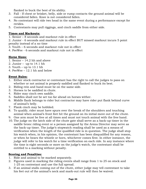flanked to buck the best of its ability.

- 3. Fall If chest or brisket, belly, side or rump contacts the ground animal will be considered fallen. Knee is not considered fallen.
- 4. No contestant will ride two head in the same event during a performance except for rerides.
- 5. Contestants may pull riggings, and cinch saddle from either side.

## **Times and Markouts:**

1. Senior – 8 seconds and markout rule in effect

2. Junior - 6 seconds and markout rule in effect BUT missed markout incurs 5 point penalty instead of a no time

- 3. Youth 6 seconds and markout rule not in effect
- 4. PeeWee 6 seconds and markout rule not in effect

## **Horse Sizes:**

- 1. Senior 14.2 hh and above
- 2. Junior up to  $14.1$  hh
- 3. Youth up to 13.1 hh
- 4. PeeWee 12.1 hh and below

## **Event Rules:**

- 1. Either stock contractor or contestant has the right to call the judges to pass on whether or not animal is properly saddled and flanked to buck its best.
- 2. Riding rein and hand must be on the same side.
- 3. Horses to be saddled in chute.
- 4. Rider may cinch own saddle.
- 5. Saddles shall not be set too far ahead on horses wither.
- 6. Middle flank belongs to rider but contractor may have rider put flank behind curve of animal's belly.
- 7. Flank cinch may be hobbled.
- 8. To qualify, rider must have spurs over the break of the shoulders and touching animal when animal's front feet hit the ground on its initial move out of the chute.
- 9. One arm must be free at all times and must not touch animal with the free hand.
- 10. The judge on the latch side of the chute gate shall serve as a back-up timer in the saddle bronc riding event or a person assigned by the Arena Director may serve as the back-up timer. The judge's stopwatch reading shall be used as a means of verification when the length of the qualified ride is in question. The judge shall stop his watch when, in his opinion, the contestant has been disqualified for any reason, or when he hears the whistle or horn, whichever comes first. In either instance, the judge will refer to his watch for a time verification on each ride. In any instance where the time is eight seconds or more on the judge's watch, the contestant shall be entitled to a marking without penalty.

## **Scoring and Penalties:**

- 1. Ride and animal to be marked separately.
- 2. Figures used in marking the riding events shall range from 1 to 25 on stock and 1-25 on contestant and use the full spread.
- 3. If an animal stalls coming out of the chute, either judge may tell contestant to take his feet out of the animal's neck and mark-out rule will then be waived.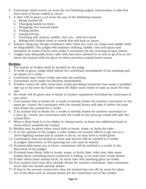- 4. Contestant shall receive no score for not following judges' instructions to take feet from neck of horse stalled in chute.
- 5. A rider will be given a no score for any of the following reasons:
	- a. Being bucked off.
	- b. Changing hands on reins.
	- c. Wrapping rein around hand.
	- d. Pulling leather.
	- e. Losing stirrup.
	- f. Touching self, animal, saddle, rein, etc., with free hand.
	- g. Riding with locked rowel or rowels that will lock on spurs.
- 6. Anyone using any foreign substance other than dry resin on chaps and saddle shall be disqualified. The judges will examine clothing, saddle, rein and spurs and exception be made if local rules make it necessary for the covering of spur rowels.
- 7. Judges may disqualify bronc rider who has been advised he is next to go if he is not above the animal with his glove on when previous animal leaves arena.

#### **Rerides:**

- 1. The matter of rerides shall be decided by the judge.
- 2. If reride is given, judge shall inform the contestant immediately of his marking and an option of a reride.
- 3. Contestant may refuse reride and take his marking.
- 4. Contestant must make his decision immediately.
- 5. If halter comes off, rider must have reride providing contestant has made a qualified ride up to the time the halter comes off. Rider must reride or take no score for that ride.
- 6. No reride will be given due to faulty or broken equipment furnished by contestant in any event.
- 7. If an animal that is drawn for a reride is already drawn for another contestant in the same-go- round, the contestant with the animal drawn will take it before the man who draws the animal for a reride.
- 8. If an animal that is drawn for a reride is already drawn for another contestant in a later go- round, the contestant with the reride in the prior go-round will take the animal first.
- 9. When a final head is to be ridden in riding events, at least two additional head of stock will be available for rerides.
- 10. Rerides may be given when stock fails to break, stops, or fouls the rider.
- 11. If, in the opinion of the judges, a rider makes two honest efforts to get out on a chute-fighting animal and is unable to do so, he may have a reride given.
- 12. Contestants who are fouled at chute and declare will be entitled to a reride at judges' discretion, or the spurring out rule may be waived.
- 13. If animal falls down out of chute, contestant will be entitled to a reride at the discretion of the judges.
- 14. If animal loses flank, fails to break, stops, or fouls rider, rider may take same animal back, providing stock contractor is willing, or he may have reride drawn.
- 15. If rider takes same animal back, he must take that marking given on reride.
- 16. If an animal that runs off is already drawn for another contestant, that contestant must take the animal already drawn.
- 17. If that is the second consecutive time the animal has run off, he must be taken out of the draw and an animal drawn for the contestant out of the rerides.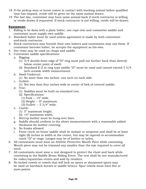- 18. If the pickup man or horse comes in contact with bucking animal before qualified time has elapsed, reride will be given on the same animal drawn.
- 19. The last day, contestant may have same animal back if stock contractor is willing or reride drawn if requested. If stock contractor is not willing, reride will be drawn.

#### **Equipment:**

- 1. Riding to be done with a plain halter, one rope-rein and committee saddle and contestant must supply own saddle.
- 2. Standard halter must be used unless agreement is made by both contestant and stock contractor.
- 3. Stock contractors may furnish their own halters and contestants may use them. If contestant borrows halter, he accepts the equipment as his own.
- 4. Dry resin may be used on chaps and saddle.
- 5. Contestant saddle specifications:
	- a. Rigging:
		- (1) 3/4 double-front edge of "D" ring must pull not further back than directly below center point of swell.
		- (2) Standard E-Z or ring type saddle "D" must be used and cannot exceed  $5\frac{3}{4}$ inch outside width measurement.
	- b. Swell Undercut:
		- (1) No more than two inches--one inch on each side.
	- c. Gullett:
		- (1) Not less than four inches wide at center of fork of covered saddle.
	- d. Tree:
		- (1) Saddles must be built on standard tree.
		- (2) Specifications:
			- (1) Fork -- 14" wide.
			- (2) Height -- 9" maximum.
			- (3) Gullett -- 5 3/4" wide.
	- e. Cantle:
		- (1) 5" maximum height.
		- (2) 14" maximum width.
	- f. Stirrup leather must be hung over bars.
	- g. Saddle should conform to the above measurements with a reasonable added thickness for leather covering.
	- h. No freaks allowed.
	- i. Front cinch on bronc saddle shall be mohair or neoprene and shall be at least eight (8) inches in width at the center, but may be tapered to accommodate cinch "D" or rings. Latigos may be of leather or nylon.
- 6. All contestants must wear an Athletic Protective Mouth Piece while contesting. Mouth piece may not be trimmed any smaller than the size required to cover all teeth.
- 7. All contestants must wear a vest designed to protect the chest and back while contesting in the Saddle Bronc Riding Event. The vest shall be one manufactured for rodeo/equestrian events and sold by retailers.
- 8. No locked rowels or rowels that will lock on spurs or sharpened spurs may be used on bareback horses or saddle broncs. Spur rowels must have five or more points.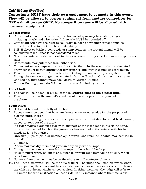# **Calf Riding (PeeWee)**

**Contestants MUST have their own equipment to compete in this event. They will be allowed to borrow equipment from another competitor for ONE exhibition run ONLY. No competition runs will be allowed with borrowed equipment.**

#### **General Rules:**

- 1. Contestant is not to use sharp spurs. No part of spur may have sharp edges including rowels and wire locks. ALL rowels MUST be rounded off.
- 2. Contestant will have the right to call judge to pass on whether or not animal is properly flanked to buck the best of its ability.
- 3. Fall- If chest or brisket, belly, side or rump contacts the ground animal will be considered fallen. Knee is not considered fallen.
- 4. No contestants will ride two head in the same event during a performance except for rerides.
- 5. Contestants may pull ropes from either side.
- 6. Contestant must compete on stock drawn for them. In the event of a mistake, stock drawn for must be run during that performance and only that time or score taken.
- 7. This event is a "move up" from Mutton Busting. If contestant participates in Calf Riding, they may no longer participate in Mutton Busting. Once they move up to Calf Riding, they cannot move back down to Mutton Busting.
- 8. Mutton Busting points do NOT count towards Calf Riding events.

#### **Time Limit:**

- **1.** The calf will be ridden for six (6) seconds. **Judges' time is the official time.**
- 2. Time to start when the animal's inside front shoulder passes the plane of the chute.

#### **Event Rules:**

- 1. Bell must be under the belly of the bull.
- 2. Ropes cannot be used that have any knots, wires or other aids for the purpose of placing spurs therein.
- 3. Calves having dangerous horns in the opinion of the event director must be dehorned, tipped, or kept out of the draw.
- 4. If a rider makes a qualified ride with any part of the loose rope in his riding hand, provided he has not touched the ground or has not fouled the animal with his free hand, he is to be marked.
- 5. Only five (5) point plain or notched spur rowels (one rowel per shank) may be used in the calf

a. riding.

- 6. Riders may use dry rosin and glycerin only on glove and rope.
- 7. Riding is to be done with one hand in rope and one hand held up.
- 8. No split finger wrap, no knots or hitches to prevent rope from falling off calf. When rider leaves him.
- 9. No more than two men may be on the chute to pull contestant's rope.
- 10. The judge's stopwatch will be the official timer. The judge shall stop his watch when, in his opinion, the contestant has been disqualified for any reason or when he hears the whistle or horn, whichever comes first. In either instance, the judge will refer to his watch for time verification on each ride. In any instance where the time is six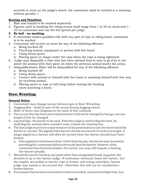seconds or more on the judge's watch, the contestant shall be entitled to a marking without penalty. I

## **Scoring and Penalties:**

- 1. Ride and animal to be marked separately.
- 2. Figures used in marking the riding events shall range from 1 to 25 on stock and 1- 25 on contestant and use the full spread per judge.

## **3. No bell - no marking.**

- 4. If contestant makes qualified ride with any part of rope in riding hand, contestant is to be marked.
- 5. Contestant will receive no score for any of the following offenses:
	- a. Being bucked off.
	- b. Touching animal, equipment or person with free hand.
	- c. Using sharp spurs.
	- d. Placing spurs or chaps under the rope when the rope is being tightened.
- 6. Judge may disqualify a rider who has been advised they're next to go if he is not above the animal with their glove on when the previous animal leaves the arena.
- 7. Disqualifications: Rider will be disqualified for any of the following offenses:
	- a. Being bucked off.
	- b. Using sharp spurs.
	- c. Contact with animal or himself with free hand or assisting himself with free arm by touching animal.
	- d. Placing spurs in rope or bell strap before leaving the bucking chute (catching a knot).

# **Steer Wrestling:**

## **General Rules:**

- 1. Contestant may change horses between gos in Steer Wrestling.
- 2. Dogging Box shall be part of the arena during dogging events.
- 3. Refer to Score Line Diagram in the back of this rulebook.
- 4. Once score line has been set in timed events it will not be changed in that go, nor can length of box be changed.
- 5. Lap and Tap No barrier to be used. If barrier judge is used to flag the start, he shall flag the animal when animal's nose crosses the starting line.
- 6. The line judge must have a tape measure in his possession in case the short end of the barrier is carried. The pigtail of the barrier should not exceed 10 inches in length. A longer pigtail on a barrier will often be carried when the barrier should have been broken.
	- a. If the pigtail is carried more than 10 feet from the pin, the barrier may be waived, providing the contestant did not obviously beat the barrier.However, if the contestant has obviously broken the barrier you may still impose a beatingthe-barrier penalty.
- 7. Should the barrier break at any point other than designated break-ing point, the decision is up to the barrier judge. If contestant obviously beats the barrier, but the staples are pulled or barrier rope is broken and string unbroken, barrier judge may assess a ten-second fine. Otherwise this will not be considered a broken barrier.
- 8. If automatic barrier does not work but time is recorded, contestant will get time, but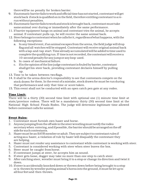there will be no penalty for broken barrier.

- 9. If automatic barrier fails to work and official time has not started, contestant will get stock back if stock is qualified on in the field, therefore entitling contestant to a rerun without penalties.
- 10. If automatic barrier fails to work and stock is brought back, contestant must take same animal over during or immediately after the same performance.
- 11. If barrier equipment hangs on animal and contestant tries the animal, he accepts animal. If contestant pulls up, he will receive the same animal back.
- 12. Steer belongs to contestant when he calls for it, regardless of what happens, with the following exceptions:
	- a. In any timed event, if an animal escapes from the arena, the field judge will drop flag and all watches will be stopped. Contestant will receive original animal back with a lap-and-tap start. Time already accumulated will be added to time used to complete the qualifying run. If time is not recorded, the contestant will receive a 10-second penalty for any jump or any loop used.
	- b. In cases of mechanical failure.
	- c. If in the opinion of the line judge contestant is fouled by barrier, contestant shall get his steer back, providing contestant declares himself by pulling up.
- 13. Time to be taken between twoflags.
- 14. It shall be the arena director's responsibility to see that contestants compete on the stock drawn for them. In the event of a mistake, stock drawn for must be run during that performance and only that time or score taken.
- 15. This event shall not be conducted with an open catch pen gate at any rodeo.

#### **Time Limit:**

There will be a thirty (30) second time limit with optional one (1) minute time limit at state/province rodeos. There will be a mandatory thirty (30) second time limit at the National High School Finals Rodeo. The judge will determine legitimate time allowed before contestant calls for animal.

#### **Event Rules:**

- 1. Contestant must furnish own hazer and horse.
- 2. Anyone jumping from the off side in the steer wrestling must notify the rodeo secretary when entering, and if possible, the barrier should be arranged on the off side for such contestants.
- 3. Hazer must be an SAYR member or adult. They are subject to contestant rules if acting as a hazer, a violation of rule by hazer will disqualify the contestant they are helping.
- 4. Hazer must not render any assistance to contestant while contestant is working with steer.
- 5. Contestant is considered working with steer when steer leaves the box.
- 6. Steer must be caught from horse.
- 7. If contestant jumps at steer, he accepts him as sound.
- 8. If steer gets loose, dogger may take no more than one step to catch steer.
- 9. After catching steer, wrestler must bring it to a stop or change its direction and twist it down.
- 10. If steer is accidentally knocked down or thrown down before being brought to a stop or is thrown by wrestler putting animal's horns into the ground, it must be let up to all four feet and then thrown.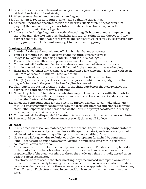- 11. Steer will be considered thrown down only when it is lying flat on its side, or on its back with all four feet and head straight.
- 12. Wrestler must have hand on steer when flagged.
- 13. Contestant is required to turn steer's head so that he can get up.
- 14. A steer falling in the opposite direction the steer wrestler is attempting to throw him (dog fall) the contestant may choose to turn the steer's head to correspond with the leg position to make this a legal fall.
- 15. In case the field judge flags out a wrestler that still legally has one or more jumps coming, the judge may give the same steer back, lap and tap, plus time already lapsed and any barrier penalties. If time was not recorded, the contestant will receive a 10-second penalty for any jump used. Contestant to only get to use remaining jump.

## **Scoring and Penalties:**

- 1. In order for time to be considered official, barrier flag must operate.
- 2. Timed event judge will not flag contestant out until time is recorded.
- 3. Judge is to flag time, then flag contestant out if run is not legal.
- 4. There will be a ten (10) second penalty assessed for breaking the barrier.
- 5. Contestant will be disqualified for any abusive treatment of steer or his horse.
- 6. Any violation of any rule by hazer will disqualify the contestant they are helping.
- 7. Hazer must not render any assistance to contestant while contestant is working with steer. Failure to observe this rule will receive no time.
- 8. If hazer bats steer, or contestant's horse, contestant will receive no time.
- 9. A ten (10) second penalty will be assessed in any case in which barrier judge rules that dogger's feet touch the ground before flag line is crossed.
- 10. If any part of the pusher breaks the plain of the chute gate before the steer releases the barrier, the contestant receives a no time.
- 11. No rattling of chute. A timed event contestant may not have someone rattle the chute for him. This applies in both the performance and the slack. The contestant and/or person rattling the chute shall be disqualified.
- 12. When the contestant calls for the steer, no further assistance can take place after that. No encouragement can take place by the assistant after the contestant calls for the steer. If the helper starts the horse or holds the horse in any way that affects the scoring process, contestant will receive a no time.
- 13. Contestant will be disqualified if he attempts in any way to tamper with steers or chute.
- 14. Time should be taken with the average of two (2) times at all Rodeos.

## **Re-runs:**

- 1. In any timed event if an animal escapes from the arena, flag will be dropped and watches stopped. Contestant will get animal back with lap and tap start, and time already spent will be added to time used in qualifying plus barrier penalties, if any.
- 2. No re-run will be given due to faulty or broken equipment furnished by contestant.
- 3. If the judge sees he has made an error in flagging, he must declare a re-run before the contestant leaves the arena.
- 4. A steer must be re-run before it is used by another contestant. Fresh steers may be added to the herd after they have been bulldogged from horseback and thrown down. It is the responsibility of the steer wrestlers to throw the cattle, at a time mutually agreed upon with the stock contractor.
- 5. If fresh steers are missed in the steer wrestling, any steer missed in competition must be thrown down immediately following the performance or section of slack in which the steer was drawn. Such steer shall be thrown down by a person appointed by the Steer Wrestling Event Director. Each steer missed in competition is to be thrown no more than one time.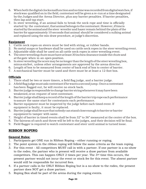- 6. When both the digital clocks malfunction and no time was recorded from digital watches, if stock was qualified on in the field, contestant will be given a re-run at a time designated by the Judges and the Arena Director, plus any barrier penalties. If barrier penalties, then lap and tap start.
- 7. In steer wrestling, if an animal fails to break the neck rope and time is officially started by the contestant, that animal belongs to the contestant. However, if time is started by the animal and the steer wrestler and hazer remain behind the plain of the barrier for approximately 10 seconds that animal should be considered a sulking animal and replaced using the mis-draw procedure, at judge's discretion.

#### **Equipment**

- 1. Cattle neck ropes on steers must be tied with string, or rubber bands.
- 2. No metal snaps or hardware shall be used on cattle neck ropes in the steer wrestling event.
- 3. Adjustable slide shall be used on all cattle neck ropes in steer wrestling event.
- 4. The steer wrestling chute must have at least 30 inches clearance inside the chute and at the gate when in an open position.
- 5. In steer wrestling the score may be no longer than the length of the steer wrestling box, minus six feet, unless other arrangements are approved by the arena director.
- 6. Length of box to be measured from center of back end of box to center of barrier.
- 7. A mechanical barrier must be used and there must be at least a 12-foot box.

#### **Officials**

- 1. There shall be two or more timers, a field flag judge, and a barrier judge.
- 2. A field flag judge must ask contestant if he wants a second jump. Once a contestant has been flagged out, he will receive no stock back.
- 3. Barrier judge is responsible to change barrier string whenever it may have been weakened, or on request of next contestant.
- 4. Barrier judge shall keep a record of the length of the barrier trip rope each performance to assure the same start for contestants each performance.
- 5. Barrier equipment must be inspected by the judge before each timed event. If equipment is faulty, it must be replaced.
- 6. Barrier judge shall be sure that nobody can stand close enough to barrier or barrier equipment to tamper with same.
- 7. Height of barrier in timed events shall be from 32" to 36" measured at the center of the box.
- 8. The fairness of catch and throw will be left to the judges, and their decision will be final.
- 9. Field flagger is required to watch contestant and steer until animal is turned loose.

# **RIBBON ROPING**

#### **General Rules:**

- 1. Participants get ONE run in Ribbon Roping either running or roping.
- 2. The point system in the ribbon roping will follow the same criteria as the team roping.
- 3. For this event All competitors MUST call in with a partner. If one partner is a no-show to the rodeo, the partner who is present will receive a draw partner from available competitors. This can happen ONLY 2 times per year. The 3rd time this occurs, the present partner would not incur the event or stock fee for this event. The absent partner would still be responsible for incurred fees.
- 4. If a partner calls in for ONLY Ribbon Roping but is a no-show to the rodeo, the present partner does NOT get a draw partner.
- 5. Roping Box shall be part of the arena during the roping events.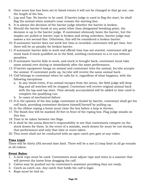- 6. Once score line has been set in timed events it will not be changed in that go nor, can the length of the box.
- 7. Lap and Tap- No barrier to be used. If barrier judge is used to flag the start, he shall flag the animal when animal's nose crosses the starting line.
- 8. It is always the decision of the barrier judge whether the barrier is broken.
- 9. Should the barrier break at any point other than designated breaking point, the decision is up to the barrier judge. If contestant obviously beats the barrier, but the staples are pulled or barrier rope is broken and string unbroken, barrier judge may assess a ten second fine. Otherwise, this will be considered a broken barrier.
- 10. If automatic barrier does not work but time is recorded, contestant will get time, but there will be no penalty for broken barrier.
- 11. If automatic barrier fails to work and official time has not started, contestant will get stock back if stock qualified on in the field, entitling contestant to a re-run without penalties.
- 12. If automatic barrier fails to work, and stock is brought back, contestant must take same animal over during or immediately after the same performance.
- 13. If barrier equipment hangs on animal and contestant tries the animal, he/she accepts the animal. If contestant pulls up, he/she will receive the same animal back.
- 14. Calf belongs to contestant when he calls for it, regardless of what happens, with the following exceptions:
	- a. In any timed event, if an animal escapes from the arena, the field judge will drop flag and all watches will be stopped. Contestant will receive original animal back with the lap-and-tap start. Time already accumulated will be added to time used to complete the qualifying run.
	- b. In cases of mechanical failure.
- 15. If in the opinion of the line judge contestant is fouled by barrier, contestant shall get his calf back, providing contestant declares himself/herself by pulling up.
- 16. In the ribbon roping a horse must clear the box before a loop is thrown.
- 17. The finish line will be marked 30 feet in front of the roping box. Flag judge stands on this line.
- 18. Time to be taken between two flags.
- 19. It shall be the arena director's responsibility to see that contestants compete on the stock drawn for them. In the event of a mistake, stock drawn for must be run during that performance and only that time or score taken.
- 20. This event shall not be conducted with an open catch pen gate at any rodeo.

#### **Time Limit**

There will be thirty (30) second time limit. There will be a one (1) loop limit in all go-rounds at all rodeos.

#### **Event Rules:**

- 1. A neck rope must be used. Contestants must adjust rope and reins in a manner that will prevent the horse from dragging the calf.
- 2. Calves may be pushed out by contestant's assistant providing they are ready.
- 3. Catch as catch can. Any catch that holds the calf is legal.
- 4. Rope must be tied on.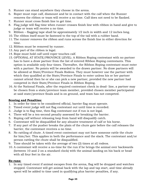- 5. Runner can stand anywhere they choose in the arena.
- 6. Roper must rope calf, dismount and be in contact with the calf when the Runner removes the ribbon or team will receive a no time. Calf does not need to be flanked.
- 7. Runner must cross finish line to get time.
- 8. Flag judge will flag time when runner crosses finish line with ribbon in hand and give to judge or team will receive a no time.
- 9. Ribbon flagging tape shall be approximately  $1/2$  inch in width and  $12$  inches long.
- 10. The ribbon itself must be fastened to the top of the tail with a rubber band.
- 11. The runner removes the ribbon and runs across the finish line in either direction for time.
- 12. Ribbon must be removed by runner.
- 13. Any part of the ribbon is legal.
- 14. Rope must hold calf until roper touches calf.
- 15. OPTIONAL AT STATE/PROVINCE LEVEL: A Ribbon Roping contestant with no partner has to have a draw partner from the list of entered Ribbon Roping contestants. This option is available only four times. Thereafter, the Ribbon Roping contestant must enter with a partner. No points will be awarded to the drawn partner. No draw partners will be allowed at State/Province Finals Rodeos. They must however use the partner with which they qualified at the State/Province Finals to enter unless his or her partner cannot attend then he or she can pick a new partner, provided the new partner had competed in their State/Province Finals in Ribbon Roping.
- 16. At the National Finals, after the required contestant check in dead- line, a partner may be chosen from a state/province team member, provided chosen member participated at said state/province finals and is on ground, and team has not competed.

#### **Scoring and Penalties:**

- 1. In order for time to be considered official, barrier flag must operate.
- 2. Timed event judge will not flag contestant out until time is recorded.
- 3. Judge is to flag time, then flag contestant out if run is not legal.
- 4. There will be a ten-second penalty assessed for breaking the barrier.
- 5. Roping calf without releasing loop from hand will disqualify catch.
- 6. Contestant will be disqualified for any abusive treatment of calf or his horse.
- 7. If any part of the pusher breaks the plain of the chute gate before the calf releases the barrier, the contestant receives a no time.
- 8. No rattling of chute. A timed event contestant may not have someone rattle the chute for him/her. This applies in both the performance and the slack. The contestant and/or person rattling the chute shall be disqualified.
- 9. Time should be taken with the average of two (2) times at all rodeos.
- 10. A contestant will receive a no-time for the run if he brings the animal over backwards (between 10 and 2 on a standard clock) with the animal landing on his back or head with all four feet in the air.

#### **Re-runs:**

1. In any timed event if animal escapes from the arena, flag will be dropped and watches stopped. Contestant will get animal back with the lap and tap start, and time already spent will be added to time used in qualifying plus barrier penalties, if any.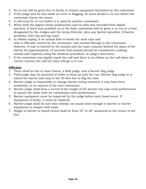- 2. No re-run will be given due to faulty or broken equipment furnished by the contestant.
- 3. If the judge sees he has made an error in flagging, he must declare a re-run before the contestant leaves the arena.
- 4. A calf must be re-run before it is used by another contestant.
- 5. When both the digital clocks malfunction and no time was recorded from digital watches, if stock was qualified on in the field, contestant will be given a re-run at a time designated by the Judges and the Arena Director, plus any barrier penalties. If barrier penalties, then lap and tap start.
- 6. In ribbon roping, if an animal fails to break the neck rope and time is officially started by the contestant, that animal belongs to the contestant. However, if time is started by the animal and the roper remains behind the plain of the barrier for approximately 10 seconds that animal should be considered a sulking animal and replaced using the misdraw procedure, at judge's discretion.
- 7. If the contestant has legally roped the calf and there is no ribbon on the calf when the runner reaches the calf the team will get a re-run.

#### **Officials:**

- 1. There shall be two or more timers, a field judge, and a barrier flag judge.
- 2. Field judge may be mounted in order to keep up with the run. Barrier flag judge is to watch the barrier and step to the 30-foot line to flag the time.
- 3. Barrier judge is responsible to change barrier string whenever it may have been weakened, or on request of the next contestant.
- 4. Barrier judge shall keep a record of the length of the barrier trip rope each performance to assure the same start for contestants each performance.
- 5. Barrier equipment must be inspected by the judge before each timed event. If equipment is faulty, it must be replaced.
- 6. Barrier judge shall be sure that nobody can stand close enough to barrier or barrier equipment to tamper with same.
- 7. Height of barrier in timed events shall be from 32" to 36" measured at the center of the box.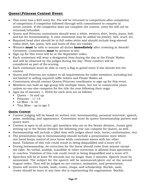# **Queen\Princess Contest Event:**

- This event has a \$25 entry fee. Fee will be returned to competitors after completion of competition if competitor followed through with commitment to compete in entire contest. If the competitor does not complete the contest, entry fee will not be returned/refunded.
- Queen and Princess contestants should wear a white, western shirt, boots, jeans, belt, and hat for horsemanship. A color statement may be added via jewelry, belt, scarf, etc.
- Required head shot should be in full rodeo attire and should include long-sleeved rodeo shirt, hat, jeans, belt and boots (if they are visible).
- Winners **must** be able to assume all duties **immediately** after crowning at Awards' Ceremony. Contestants **must** be present to win.
- Sign-up for this event will be at the September rodeo.
- Each contestant will wear a designated item during the day at the Finals' Rodeo and will be observed by the judges during the day. Their conduct will be considered as part of the scoring.
- Each contestant must be able to carry a flag in grand entry if she should win the contest.
- Queen and Princess are subject to all requirements for rodeo members, including but not limited to selling required raffle tickets and Finals' Rodeo ad.
- Contestants should contact Queen/Princess coordinator to sign up for this event.
- Members can hold an age-group title multiple times, but not in consecutive years unless no one else competes for the title the year following their reign.
- Ages (as of January 1, 2022) for each area are as follows:
	- $\blacksquare$  Queen 16 and up
	- $\blacksquare$  Princess 11-15
	- $\blacksquare$  Lil Miss 6-10
	- $\blacksquare$  Tiny Miss up to age 5

#### **Queen Contest**

- Contest judging will be based on written test, horsemanship, personal interview, speech, poise, modeling, and appearance. Contestant must do queen horsemanship pattern and queen wave.
- Contest is open to all active, girl members who are in the Senior division. Junior girls moving up to the Senior division the following year can compete for Queen, as well.
- Horsemanship will include a Q&A time with judges about tack, horse, conformation, etc)
- The presentation lap in horsemanship should include a presentation wave where one hand keeps control of your horse while contestant waves with her other hand. Violation of this rule could result in being disqualified and a score of 0.
- During horsemanship, no correction for the horse should come from anyone except the rider. No verbal, audible, inaudible or other correction is allowed from spectators or coaches. Violation of this rule could result in being disqualified and a score of 0.
- Speeches will be at least 90 seconds but no longer than 3 minutes. Speech must be memorized. The subject for the speech will be announced/given out at the second August rodeo. They will be judged on eye contact, animation, and presentation.
- Queen will receive buckle, sash, crown, chaps, and scholarship. Buckle, sash, crown should be worn at any time she is representing the organization. Buckle,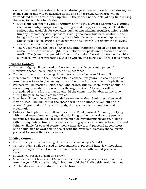sash, crown, and chaps should be worn during grand entry in each rodeo during her reign. Scholarship will be awarded at the end of her reign. All awards will be surrendered to the first runner up should the winner not be able, at any time during the year, to complete her duties.

- Duties include photos with all winners at the Finals' Award Ceremony, planning each grand entry, carrying a flag during grand entry, welcoming people at the rodeo, being available for occasions such as introducing speakers, helping with fun day, interacting with sponsors, visiting sponsors' business locations, and being available for special events, media interviews, and personal appearances. She should also be available to assist with the Awards' Ceremony the following year and to crown the next Queen.
- The Queen will be the face of SAYR and must represent herself and the sport of rodeo in the best possible light. This includes her posts and presence on social media. The Queen is expected to dress and conduct herself professionally while at all rodeos, while representing SAYR as Queen, and during all SAYR rodeo hours.

#### **Princess Contest**

- Contest judging will be based on horsemanship, rule book test, personal interview, speech, poise, modeling, and appearance.
- Contest is open to all active, girl members who are between 11 and 15.
- Members cannot hold the Princess title in consecutive years (unless no one else runs the year following her reign), but can hold the Princess title multiple times.
- Princess will be receive buckle, sash, and crown. Buckle, sash, crown should be worn at any time she is representing the organization. All awards will be surrendered to the first runner up should the winner not be able, at any time during the year, to complete her duties.
- Speeches will be at least 90 seconds but no longer than 3 minutes. Note cards may be used. The subject for the speech will be announced/given out at the second August rodeo. They will be judged on eye contact, animation, and presentation.
- Duties include photos with all winners at the Finals' Award Ceremony, helping with grand entry plans, carrying a flag during grand entry, welcoming people at the rodeo, being available for occasions such as introducing speakers, helping with fun day, interacting with sponsors, visiting sponsors' business locations, and being available for special events, media interviews, and personal appearances. She should also be available to assist with the Awards' Ceremony the following year and to crown the next Princess.

#### **Lil Miss Contest**

- Contest is open to all active, girl members between ages 6 and 10.
- Contest judging will be based on horsemanship, personal interview, modeling, poise, and appearance. Contestant must do Lil Miss pattern and princess wave.
- Lil Miss will receive a sash and crown.
- Members cannot hold the Lil Miss title in consecutive years (unless no one else runs the year following her reign), but can hold the Lil Miss title multiple times.
- The Lil Miss will be introduced at each Grand Entry.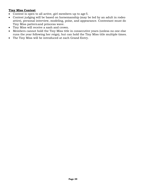#### **Tiny Miss Contest**

- Contest is open to all active, girl members up to age 5.
- Contest judging will be based on horsemanship (may be led by an adult in rodeo attire), personal interview, modeling, poise, and appearance. Contestant must do Tiny Miss pattern and princess wave.
- Tiny Miss will receive a sash and crown.
- Members cannot hold the Tiny Miss title in consecutive years (unless no one else runs the year following her reign), but can hold the Tiny Miss title multiple times.
- The Tiny Miss will be introduced at each Grand Entry.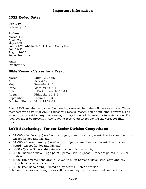# **2022 Rodeo Dates**

#### **Fun Day**

February 12

#### **Rodeos**

March 4-5 April 22-23 May 20-21 June 24-25 **ALL** Raffle Tickets and Money Due July 29-30 August 26-27 September 16-18

Finals October 7-9

## **Bible Verses - Verses for a Treat**

| Luke 12:25-26          |
|------------------------|
| Acts $4:12$            |
| Proverbs 21:2          |
| Matthew 6:14-15        |
| 1 Corinthians 16:13-14 |
| Philippians 2:3-5      |
| Psalm 18:1-3           |
| Mark 12:29-31          |
|                        |

Each SAYR member who says the monthly verse at the rodeo will receive a treat. Those members who say it for ALL 8 rodeos will receive recognition at our Finals awards. The verse must be said at any time during the day to one of the workers in registration. The member must be present at the rodeo to receive credit for saying the verse for that rodeo.

# **SAYR Scholarships (For our Senior Division Competitors)**

- \$1,000 Leadership (voted on by judges, arena directors, event directors and board except for Joe and Melody)
- \$1,000 Sportsmanship (voted on by judges, arena directors, event directors and board - except for Joe and Melody)
- \$600 Queen Scholarship given at the completion of reign
- \$500 Senior division High point person with highest number of points in Senior division
- \$300 -Bible Verse Scholarship given to all in Senior division who learn and say every bible verse at every rodeo
- \$250 -Peer Scholarship voted on by peers in Senior division

Scholarship votes resulting in ties will have money split between tied competitors.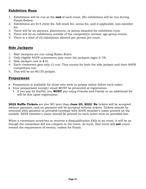## **Exhibition Runs**

- 1. Exhibitions will be run at the **end** of each event. (No exhibitions will be run during Finals Rodeo).
- 2. Exhibitions are \$14 event fee, full stock fee, arena fee, and if applicable, non-member fee.
- 3. There will be no payouts, placements, or points awarded for exhibition runs.
- 4. There will be no exhibitions outside of the competitors' normal, age-group events.
- 5. There is a limit of (3) exhibitions allowed per person per event.

# **Side Jackpots**

- 1. Side Jackpots are run using Rodeo Rules.
- 2. Only eligible SAYR contestants may enter the jackpots (ages 2-19).
- 3. Side Jackpot cost is \$10.
- 4. Each contestant gets only (1) run. This counts for both the side jackpot and their SAYR competition run.
- 5. This will be an 80/20 jackpot.

## **Prepayment**

- Prepayment is available for those who wish to prepay online before each rodeo.
- Your prepayment receipt/ email MUST be presented at registration.
	- If you pay by PayPal, you **MUST** pay using Friends and Family or an additional fee will be due upon registration.

**2022 Raffle Tickets** are due NO later than **June 25, 2022**. **No** tickets will be accepted without payment, and no payment will be accepted without tickets. Tickets should be returned with payment in provided envelope with SAYR member's name printed on the outside. SAYR member's name should be printed on each ticket stub on provided line.

When a contestant scratches or receives a disqualification (DQ) in an event, it will be as though the contestant did not compete in the event. As such, that event will **not** count toward the requirement of events/ rodeos for Finals.